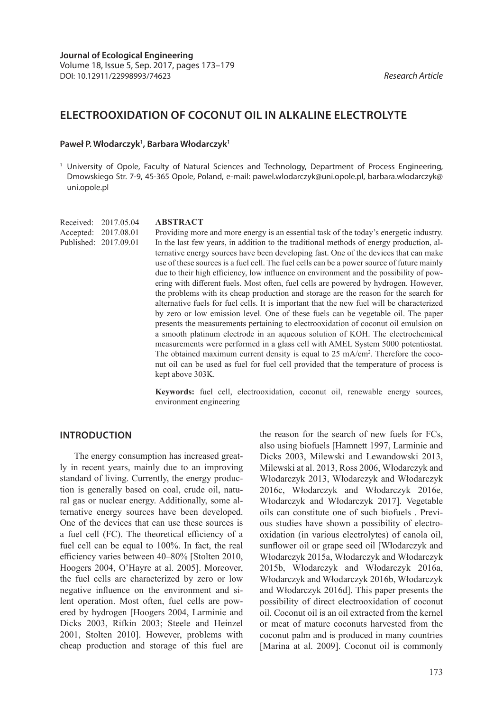# **ELECTROOXIDATION OF COCONUT OIL IN ALKALINE ELECTROLYTE**

## Paweł P. Włodarczyk<sup>1</sup>, Barbara Włodarczyk<sup>1</sup>

<sup>1</sup> University of Opole, Faculty of Natural Sciences and Technology, Department of Process Engineering, Dmowskiego Str. 7-9, 45-365 Opole, Poland, e-mail: pawel.wlodarczyk@uni.opole.pl, barbara.wlodarczyk@ uni.opole.pl

Received: 2017.05.04 Accepted: 2017.08.01 Published: 2017.09.01

#### **ABSTRACT**

Providing more and more energy is an essential task of the today's energetic industry. In the last few years, in addition to the traditional methods of energy production, alternative energy sources have been developing fast. One of the devices that can make use of these sources is a fuel cell. The fuel cells can be a power source of future mainly due to their high efficiency, low influence on environment and the possibility of powering with different fuels. Most often, fuel cells are powered by hydrogen. However, the problems with its cheap production and storage are the reason for the search for alternative fuels for fuel cells. It is important that the new fuel will be characterized by zero or low emission level. One of these fuels can be vegetable oil. The paper presents the measurements pertaining to electrooxidation of coconut oil emulsion on a smooth platinum electrode in an aqueous solution of KOH. The electrochemical measurements were performed in a glass cell with AMEL System 5000 potentiostat. The obtained maximum current density is equal to 25 mA/cm<sup>2</sup>. Therefore the coconut oil can be used as fuel for fuel cell provided that the temperature of process is kept above 303K.

**Keywords:** fuel cell, electrooxidation, coconut oil, renewable energy sources, environment engineering

## **INTRODUCTION**

The energy consumption has increased greatly in recent years, mainly due to an improving standard of living. Currently, the energy production is generally based on coal, crude oil, natural gas or nuclear energy. Additionally, some alternative energy sources have been developed. One of the devices that can use these sources is a fuel cell (FC). The theoretical efficiency of a fuel cell can be equal to 100%. In fact, the real efficiency varies between 40–80% [Stolten 2010, Hoogers 2004, O'Hayre at al. 2005]. Moreover, the fuel cells are characterized by zero or low negative influence on the environment and silent operation. Most often, fuel cells are powered by hydrogen [Hoogers 2004, Larminie and Dicks 2003, Rifkin 2003; Steele and Heinzel 2001, Stolten 2010]. However, problems with cheap production and storage of this fuel are

the reason for the search of new fuels for FCs, also using biofuels [Hamnett 1997, Larminie and Dicks 2003, Milewski and Lewandowski 2013, Milewski at al. 2013, Ross 2006, Włodarczyk and Włodarczyk 2013, Włodarczyk and Włodarczyk 2016c, Włodarczyk and Włodarczyk 2016e, Włodarczyk and Włodarczyk 2017]. Vegetable oils can constitute one of such biofuels . Previous studies have shown a possibility of electrooxidation (in various electrolytes) of canola oil, sunflower oil or grape seed oil [Włodarczyk and Włodarczyk 2015a, Włodarczyk and Włodarczyk 2015b, Włodarczyk and Włodarczyk 2016a, Włodarczyk and Włodarczyk 2016b, Włodarczyk and Włodarczyk 2016d]. This paper presents the possibility of direct electrooxidation of coconut oil. Coconut oil is an oil extracted from the kernel or meat of mature coconuts harvested from the coconut palm and is produced in many countries [Marina at al. 2009]. Coconut oil is commonly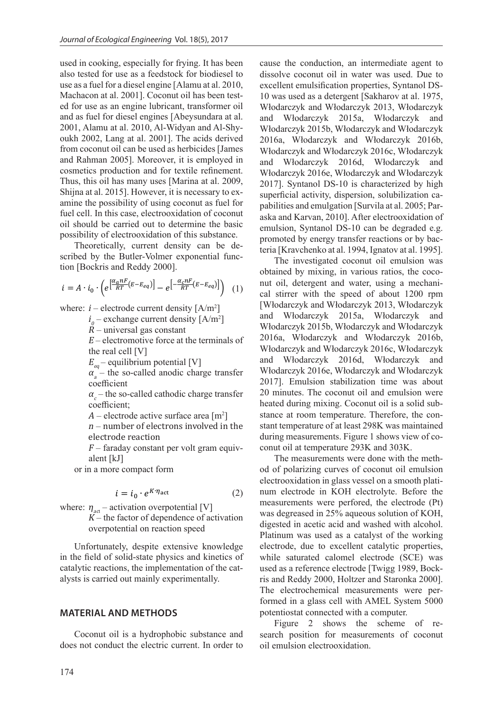used in cooking, especially for frying. It has been also tested for use as a feedstock for biodiesel to use as a fuel for a diesel engine [Alamu at al. 2010, Machacon at al. 2001]. Coconut oil has been tested for use as an engine lubricant, transformer oil and as fuel for diesel engines [Abeysundara at al. 2001, Alamu at al. 2010, Al-Widyan and Al-Shyoukh 2002, Lang at al. 2001]. The acids derived from coconut oil can be used as herbicides [James and Rahman 2005]. Moreover, it is employed in cosmetics production and for textile refinement. Thus, this oil has many uses [Marina at al. 2009, Shijna at al. 2015]. However, it is necessary to examine the possibility of using coconut as fuel for fuel cell. In this case, electrooxidation of coconut oil should be carried out to determine the basic possibility of electrooxidation of this substance.

Theoretically, current density can be described by the Butler-Volmer exponential function [Bockris and Reddy 2000].

$$
i = A \cdot i_0 \cdot \left( e^{\left[ \frac{\alpha_a n F}{RT} (E - E_{eq}) \right]} - e^{\left[ -\frac{\alpha_c n F}{RT} (E - E_{eq}) \right]} \right) \tag{1}
$$

where:  $i$  – electrode current density  $[A/m^2]$ 

 $i_0$  – exchange current density [A/m<sup>2</sup>]

 $R$  – universal gas constant

<sup>E</sup>– electromotive force at the terminals of the real cell [V]

 $E_{eq}^{}$ – equilibrium potential [V]

 $\alpha_a$  – the so-called anodic charge transfer coefficient

 $\alpha_c$  – the so-called cathodic charge transfer coefficient;

 $A$  – electrode active surface area [m<sup>2</sup>]

 $n$  – number of electrons involved in the electrode reaction

 $F$  – faraday constant per volt gram equivalent [kJ]

or in a more compact form

$$
i = i_0 \cdot e^{K \cdot \eta_{\rm act}} \tag{2}
$$

where:  $\eta_{\text{act}}$  – activation overpotential [V]

 $K$  – the factor of dependence of activation overpotential on reaction speed

Unfortunately, despite extensive knowledge in the field of solid-state physics and kinetics of catalytic reactions, the implementation of the catalysts is carried out mainly experimentally.

#### **MATERIAL AND METHODS**

Coconut oil is a hydrophobic substance and does not conduct the electric current. In order to cause the conduction, an intermediate agent to dissolve coconut oil in water was used. Due to excellent emulsification properties, Syntanol DS-10 was used as a detergent [Sakharov at al. 1975, Włodarczyk and Włodarczyk 2013, Włodarczyk and Włodarczyk 2015a, Włodarczyk and Włodarczyk 2015b, Włodarczyk and Włodarczyk 2016a, Włodarczyk and Włodarczyk 2016b, Włodarczyk and Włodarczyk 2016c, Włodarczyk and Włodarczyk 2016d, Włodarczyk and Włodarczyk 2016e, Włodarczyk and Włodarczyk 2017]. Syntanol DS-10 is characterized by high superficial activity, dispersion, solubilization capabilities and emulgation [Survila at al. 2005; Paraska and Karvan, 2010]. After electrooxidation of emulsion, Syntanol DS-10 can be degraded e.g. promoted by energy transfer reactions or by bacteria [Kravchenko at al. 1994, Ignatov at al. 1995].

The investigated coconut oil emulsion was obtained by mixing, in various ratios, the coconut oil, detergent and water, using a mechanical stirrer with the speed of about 1200 rpm [Włodarczyk and Włodarczyk 2013, Włodarczyk and Włodarczyk 2015a, Włodarczyk and Włodarczyk 2015b, Włodarczyk and Włodarczyk 2016a, Włodarczyk and Włodarczyk 2016b, Włodarczyk and Włodarczyk 2016c, Włodarczyk and Włodarczyk 2016d, Włodarczyk and Włodarczyk 2016e, Włodarczyk and Włodarczyk 2017]. Emulsion stabilization time was about 20 minutes. The coconut oil and emulsion were heated during mixing. Coconut oil is a solid substance at room temperature. Therefore, the constant temperature of at least 298K was maintained during measurements. Figure 1 shows view of coconut oil at temperature 293K and 303K.

The measurements were done with the method of polarizing curves of coconut oil emulsion electrooxidation in glass vessel on a smooth platinum electrode in KOH electrolyte. Before the measurements were perfored, the electrode (Pt) was degreased in 25% aqueous solution of KOH, digested in acetic acid and washed with alcohol. Platinum was used as a catalyst of the working electrode, due to excellent catalytic properties, while saturated calomel electrode (SCE) was used as a reference electrode [Twigg 1989, Bockris and Reddy 2000, Holtzer and Staronka 2000]. The electrochemical measurements were performed in a glass cell with AMEL System 5000 potentiostat connected with a computer.

Figure 2 shows the scheme of research position for measurements of coconut oil emulsion electrooxidation.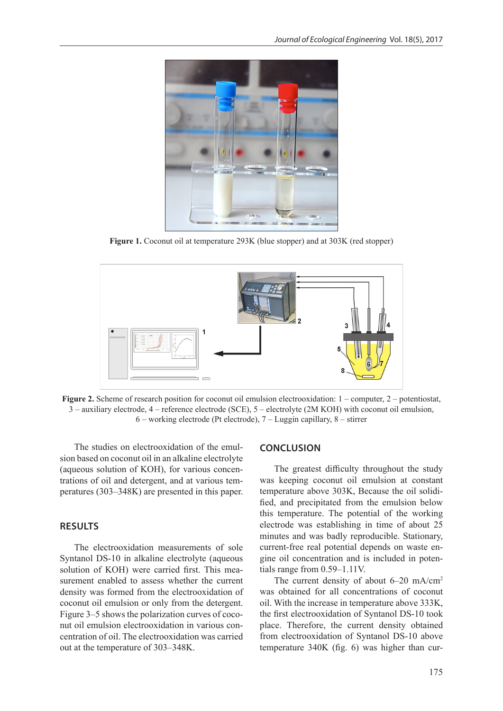

**Figure 1.** Coconut oil at temperature 293K (blue stopper) and at 303K (red stopper)



**Figure 2.** Scheme of research position for coconut oil emulsion electrooxidation:  $1$  – computer,  $2$  – potentiostat, 3 – auxiliary electrode, 4 – reference electrode (SCE), 5 – electrolyte (2M KOH) with coconut oil emulsion, 6 – working electrode (Pt electrode), 7 – Luggin capillary, 8 – stirrer

The studies on electrooxidation of the emulsion based on coconut oil in an alkaline electrolyte (aqueous solution of KOH), for various concentrations of oil and detergent, and at various temperatures (303–348K) are presented in this paper.

## **RESULTS**

The electrooxidation measurements of sole Syntanol DS-10 in alkaline electrolyte (aqueous solution of KOH) were carried first. This measurement enabled to assess whether the current density was formed from the electrooxidation of coconut oil emulsion or only from the detergent. Figure 3–5 shows the polarization curves of coconut oil emulsion electrooxidation in various concentration of oil. The electrooxidation was carried out at the temperature of 303–348K.

### **CONCLUSION**

The greatest difficulty throughout the study was keeping coconut oil emulsion at constant temperature above 303K, Because the oil solidified, and precipitated from the emulsion below this temperature. The potential of the working electrode was establishing in time of about 25 minutes and was badly reproducible. Stationary, current-free real potential depends on waste engine oil concentration and is included in potentials range from 0.59–1.11V.

The current density of about 6–20 mA/cm<sup>2</sup> was obtained for all concentrations of coconut oil. With the increase in temperature above 333K, the first electrooxidation of Syntanol DS-10 took place. Therefore, the current density obtained from electrooxidation of Syntanol DS-10 above temperature 340K (fig. 6) was higher than cur-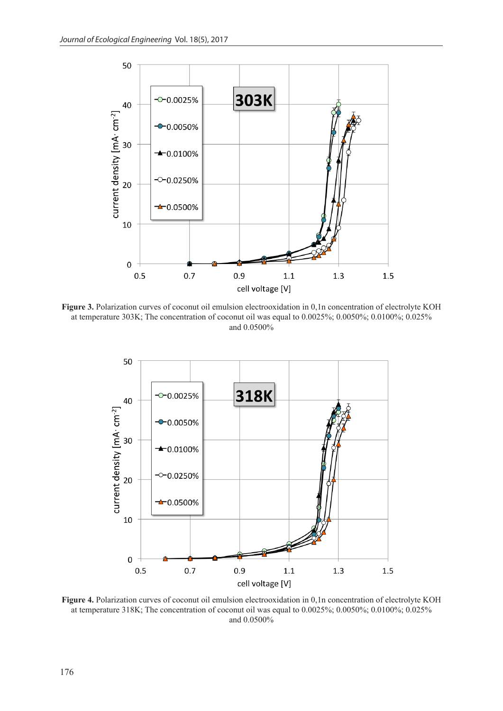

**Figure 3.** Polarization curves of coconut oil emulsion electrooxidation in 0,1n concentration of electrolyte KOH at temperature 303K; The concentration of coconut oil was equal to 0.0025%; 0.0050%; 0.0100%; 0.025% and 0.0500%



**Figure 4.** Polarization curves of coconut oil emulsion electrooxidation in 0,1n concentration of electrolyte KOH at temperature 318K; The concentration of coconut oil was equal to 0.0025%; 0.0050%; 0.0100%; 0.025% and 0.0500%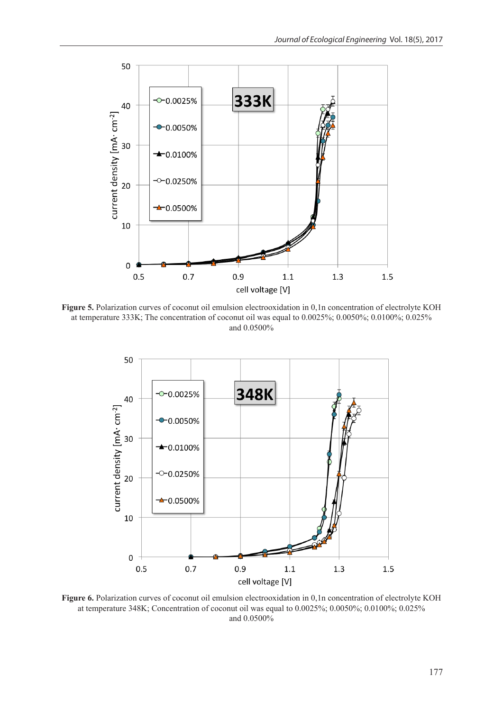

**Figure 5.** Polarization curves of coconut oil emulsion electrooxidation in 0,1n concentration of electrolyte KOH at temperature 333K; The concentration of coconut oil was equal to 0.0025%; 0.0050%; 0.0100%; 0.025% and 0.0500%



**Figure 6.** Polarization curves of coconut oil emulsion electrooxidation in 0,1n concentration of electrolyte KOH at temperature 348K; Concentration of coconut oil was equal to 0.0025%; 0.0050%; 0.0100%; 0.025% and 0.0500%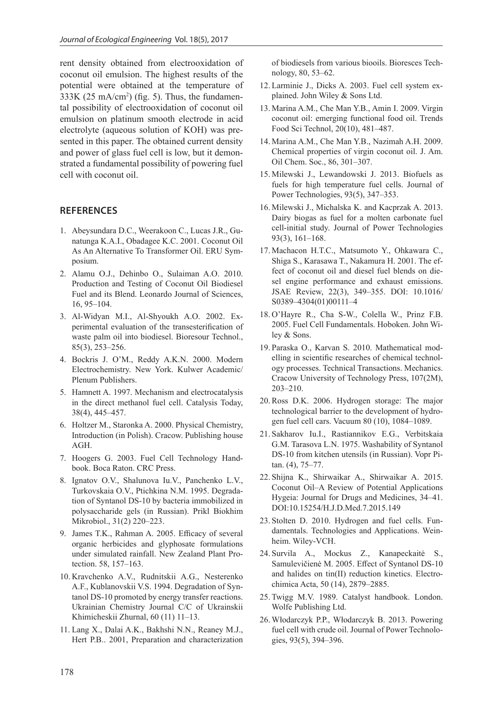rent density obtained from electrooxidation of coconut oil emulsion. The highest results of the potential were obtained at the temperature of  $333K$  (25 mA/cm<sup>2</sup>) (fig. 5). Thus, the fundamental possibility of electrooxidation of coconut oil emulsion on platinum smooth electrode in acid electrolyte (aqueous solution of KOH) was presented in this paper. The obtained current density and power of glass fuel cell is low, but it demonstrated a fundamental possibility of powering fuel cell with coconut oil.

## **REFERENCES**

- 1. Abeysundara D.C., Weerakoon C., Lucas J.R., Gunatunga K.A.I., Obadagee K.C. 2001. Coconut Oil As An Alternative To Transformer Oil. ERU Symposium.
- 2. Alamu O.J., Dehinbo O., Sulaiman A.O. 2010. Production and Testing of Coconut Oil Biodiesel Fuel and its Blend. Leonardo Journal of Sciences, 16, 95–104.
- 3. Al-Widyan M.I., Al-Shyoukh A.O. 2002. Experimental evaluation of the transesterification of waste palm oil into biodiesel. Bioresour Technol., 85(3), 253–256.
- 4. Bockris J. O'M., Reddy A.K.N. 2000. Modern Electrochemistry. New York. Kulwer Academic/ Plenum Publishers.
- 5. Hamnett A. 1997. Mechanism and electrocatalysis in the direct methanol fuel cell. Catalysis Today, 38(4), 445–457.
- 6. Holtzer M., Staronka A. 2000. Physical Chemistry, Introduction (in Polish). Cracow. Publishing house AGH.
- 7. Hoogers G. 2003. Fuel Cell Technology Handbook. Boca Raton. CRC Press.
- 8. Ignatov O.V., Shalunova Iu.V., Panchenko L.V., Turkovskaia O.V., Ptichkina N.M. 1995. Degradation of Syntanol DS-10 by bacteria immobilized in polysaccharide gels (in Russian). Prikl Biokhim Mikrobiol., 31(2) 220–223.
- 9. James T.K., Rahman A. 2005. Efficacy of several organic herbicides and glyphosate formulations under simulated rainfall. New Zealand Plant Protection. 58, 157–163.
- 10. Kravchenko A.V., Rudnitskii A.G., Nesterenko A.F., Kublanovskii V.S. 1994. Degradation of Syntanol DS-10 promoted by energy transfer reactions. Ukrainian Chemistry Journal C/C of Ukrainskii Khimicheskii Zhurnal, 60 (11) 11–13.
- 11. Lang X., Dalai A.K., Bakhshi N.N., Reaney M.J., Hert P.B.. 2001, Preparation and characterization

of biodiesels from various biooils. Bioresces Technology, 80, 53–62.

- 12. Larminie J., Dicks A. 2003. Fuel cell system explained. John Wiley & Sons Ltd.
- 13. Marina A.M., Che Man Y.B., Amin I. 2009. Virgin coconut oil: emerging functional food oil. Trends Food Sci Technol, 20(10), 481–487.
- 14. Marina A.M., Che Man Y.B., Nazimah A.H. 2009. Chemical properties of virgin coconut oil. J. Am. Oil Chem. Soc., 86, 301–307.
- 15. Milewski J., Lewandowski J. 2013. Biofuels as fuels for high temperature fuel cells. Journal of Power Technologies, 93(5), 347–353.
- 16. Milewski J., Michalska K. and Kacprzak A. 2013. Dairy biogas as fuel for a molten carbonate fuel cell-initial study. Journal of Power Technologies 93(3), 161–168.
- 17. Machacon H.T.C., Matsumoto Y., Ohkawara C., Shiga S., Karasawa T., Nakamura H. 2001. The effect of coconut oil and diesel fuel blends on diesel engine performance and exhaust emissions. JSAE Review, 22(3), 349–355. DOI: 10.1016/ S0389–4304(01)00111–4
- 18. O'Hayre R., Cha S-W., Colella W., Prinz F.B. 2005. Fuel Cell Fundamentals. Hoboken. John Wiley & Sons.
- 19. Paraska O., Karvan S. 2010. Mathematical modelling in scientific researches of chemical technology processes. Technical Transactions. Mechanics. Cracow University of Technology Press, 107(2M), 203–210.
- 20. Ross D.K. 2006. Hydrogen storage: The major technological barrier to the development of hydrogen fuel cell cars. Vacuum 80 (10), 1084–1089.
- 21. Sakharov Iu.I., Rastiannikov E.G., Verbitskaia G.M. Tarasova L.N. 1975. Washability of Syntanol DS-10 from kitchen utensils (in Russian). Vopr Pitan. (4), 75–77.
- 22. Shijna K., Shirwaikar A., Shirwaikar A. 2015. Coconut Oil–A Review of Potential Applications Hygeia: Journal for Drugs and Medicines, 34–41. DOI:10.15254/H.J.D.Med.7.2015.149
- 23. Stolten D. 2010. Hydrogen and fuel cells. Fundamentals. Technologies and Applications. Weinheim. Wiley-VCH.
- 24. Survila A., Mockus Z., Kanapeckaitė S., Samulevičienė M. 2005. Effect of Syntanol DS-10 and halides on tin(II) reduction kinetics. Electrochimica Acta, 50 (14), 2879–2885.
- 25. Twigg M.V. 1989. Catalyst handbook. London. Wolfe Publishing Ltd.
- 26. Włodarczyk P.P., Włodarczyk B. 2013. Powering fuel cell with crude oil. Journal of Power Technologies, 93(5), 394–396.